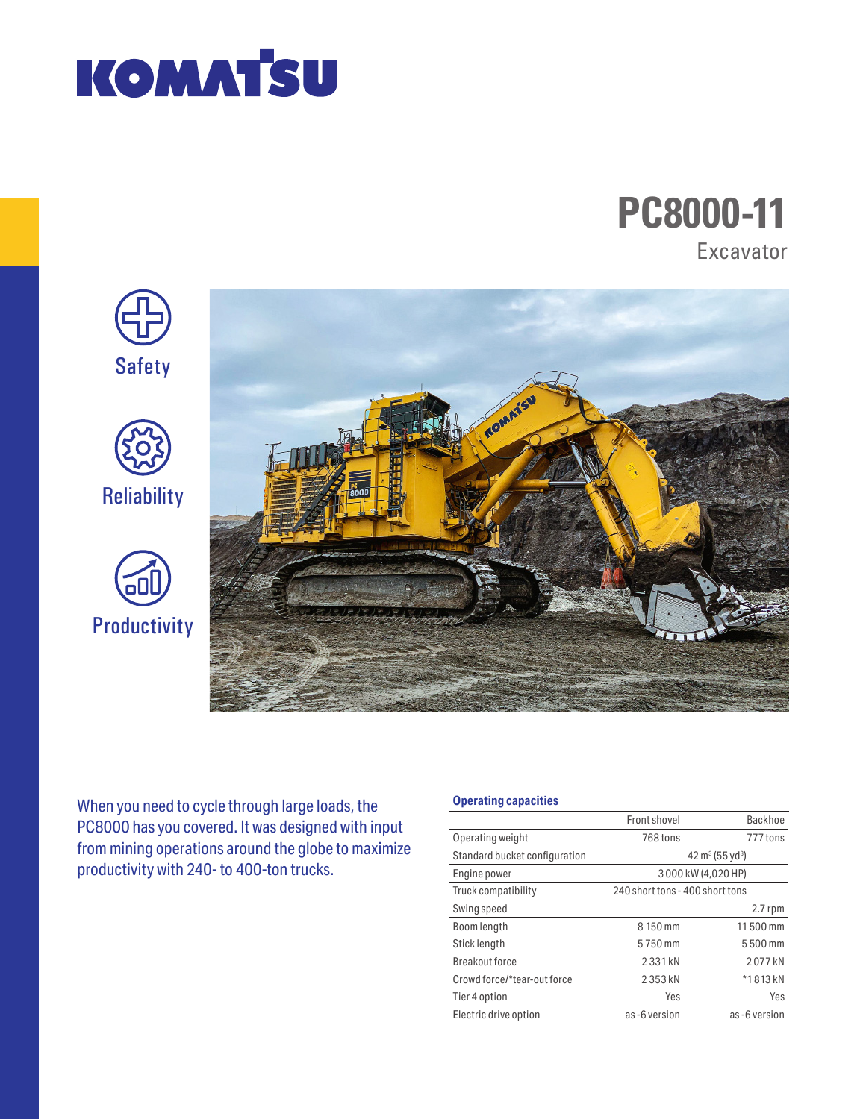

# **PC8000-11** Excavator



When you need to cycle through large loads, the PC8000 has you covered. It was designed with input from mining operations around the globe to maximize productivity with 240- to 400-ton trucks.

### **Operating capacities**

|                               | Front shovel                    | Backhoe                                 |
|-------------------------------|---------------------------------|-----------------------------------------|
| Operating weight              | 768 tons                        | 777 tons                                |
| Standard bucket configuration |                                 | 42 m <sup>3</sup> (55 yd <sup>3</sup> ) |
| Engine power                  | 3000 kW (4,020 HP)              |                                         |
| Truck compatibility           | 240 short tons - 400 short tons |                                         |
| Swing speed                   |                                 | $2.7$ rpm                               |
| Boom length                   | 8 150 mm                        | 11500 mm                                |
| Stick length                  | 5750 mm                         | 5500 mm                                 |
| Breakout force                | 2331 kN                         | 2077 kN                                 |
| Crowd force/*tear-out force   | 2353 kN                         | *1813 kN                                |
| Tier 4 option                 | Yes                             | Yes                                     |
| Electric drive option         | as-6 version                    | as-6 version                            |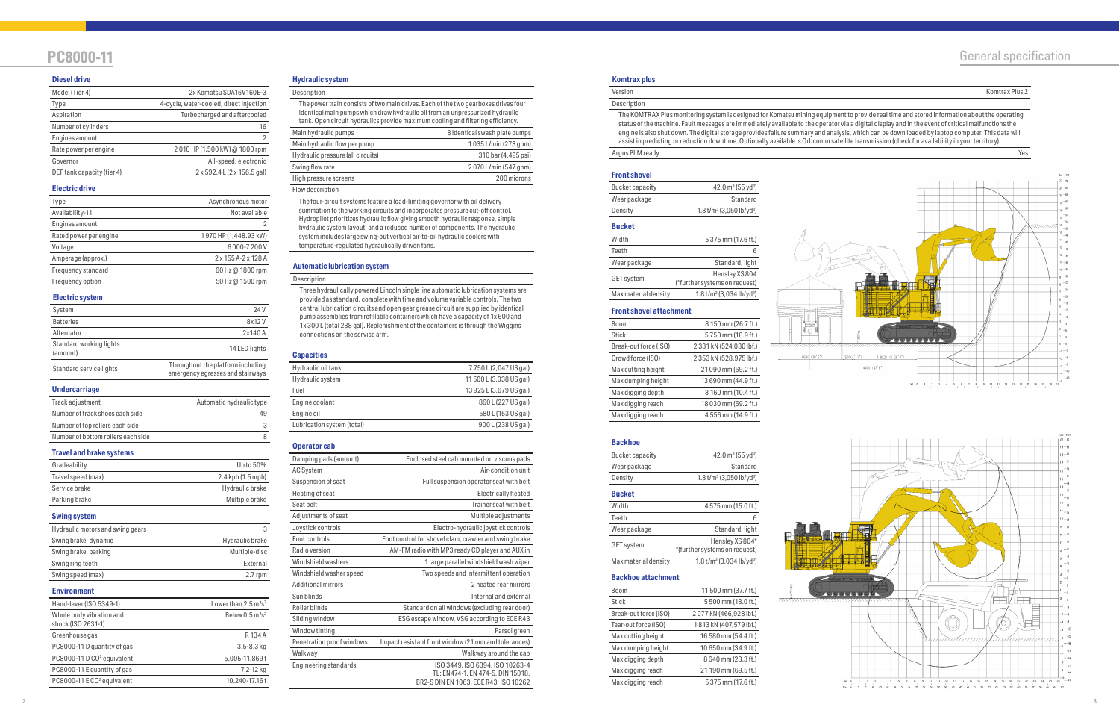## **PC8000-11** General specification

#### **Hydraulic system**

| The power train consists of two main drives. Each of the two gearboxes drives four<br>identical main pumps which draw hydraulic oil from an unpressurized hydraulic<br>tank. Open circuit hydraulics provide maximum cooling and filtering efficiency. |                               |
|--------------------------------------------------------------------------------------------------------------------------------------------------------------------------------------------------------------------------------------------------------|-------------------------------|
| Main hydraulic pumps                                                                                                                                                                                                                                   | 8 identical swash plate pumps |
| Main hydraulic flow per pump                                                                                                                                                                                                                           | 1035 L/min (273 qpm)          |
| Hydraulic pressure (all circuits)                                                                                                                                                                                                                      | 310 bar (4,495 psi)           |
| Swing flow rate                                                                                                                                                                                                                                        | 2070 L/min (547 qpm)          |
| High pressure screens                                                                                                                                                                                                                                  | 200 microns                   |
| Flow description                                                                                                                                                                                                                                       |                               |

The four-circuit systems feature a load-limiting governor with oil delivery summation to the working circuits and incorporates pressure cut-off control. Hydropilot prioritizes hydraulic flow giving smooth hydraulic response, simple hydraulic system layout, and a reduced number of components. The hydraulic system includes large swing-out vertical air-to-oil hydraulic coolers with temperature-regulated hydraulically driven fans.

#### **Diesel drive**

| Model (Tier 4)             | 2x Komatsu SDA16V160E-3                 |
|----------------------------|-----------------------------------------|
| Type                       | 4-cycle, water-cooled, direct injection |
| Aspiration                 | Turbocharged and aftercooled            |
| Number of cylinders        | 16                                      |
| Engines amount             | $\mathcal{P}$                           |
| Rate power per engine      | 2010 HP (1,500 kW) @ 1800 rpm           |
| Governor                   | All-speed, electronic                   |
| DEF tank capacity (tier 4) | 2 x 592.4 L (2 x 156.5 gal)             |

#### **Electric drive**

| Type                   | Asynchronous motor    |
|------------------------|-----------------------|
| Availability-11        | Not available         |
| Engines amount         |                       |
| Rated power per engine | 1970 HP (1,448.93 kW) |
| Voltage                | 6000-7200V            |
| Amperage (approx.)     | 2 x 155 A-2 x 128 A   |
| Frequency standard     | 60 Hz @ 1800 rpm      |
| Frequency option       | 50 Hz @ 1500 rpm      |
|                        |                       |

#### **Electric system**

| System                              | 24 V                                                                  |
|-------------------------------------|-----------------------------------------------------------------------|
| <b>Batteries</b>                    | 8x12V                                                                 |
| Alternator                          | 2x140 A                                                               |
| Standard working lights<br>(amount) | 14 LED lights                                                         |
| Standard service lights             | Throughout the platform including<br>emergency egresses and stairways |

#### **Undercarriage**

| Track adjustment                   | Automatic hydraulic type |
|------------------------------------|--------------------------|
| Number of track shoes each side    | 49                       |
| Number of top rollers each side    |                          |
| Number of bottom rollers each side |                          |

#### **Travel and brake systems**

| Gradeability       | Up to 50%         |
|--------------------|-------------------|
| Travel speed (max) | 2.4 kph (1.5 mph) |
| Service brake      | Hydraulic brake   |
| Parking brake      | Multiple brake    |

#### **Swing system**

| Hydraulic motors and swing gears | 3               |
|----------------------------------|-----------------|
| Swing brake, dynamic             | Hydraulic brake |
| Swing brake, parking             | Multiple-disc   |
| Swing ring teeth                 | External        |
| Swing speed (max)                | $2.7$ rpm       |

#### **Automatic lubrication system**

#### **Description**

Three hydraulically powered Lincoln single line automatic lubrication systems are provided as standard, complete with time and volume variable controls. The two central lubrication circuits and open gear grease circuit are supplied by identical pump assemblies from refillable containers which have a capacity of 1x 600 and 1x 300 L (total 238 gal). Replenishment of the containers is through the Wiggins connections on the service arm.

#### **Environment**

| Hand-lever (ISO 5349-1)                        | Lower than 2.5 m/s <sup>2</sup> |
|------------------------------------------------|---------------------------------|
| Whole body vibration and<br>shock (ISO 2631-1) | Below $0.5$ m/s <sup>2</sup>    |
| Greenhouse gas                                 | R134A                           |
| PC8000-11 D quantity of gas                    | $3.5 - 8.3$ kg                  |
| PC8000-11 D CO <sup>2</sup> equivalent         | 5.005-11.869t                   |
| PC8000-11 E quantity of gas                    | 7.2-12 kg                       |
| PC8000-11 E CO <sup>2</sup> equivalent         | 10.240-17.16t                   |

#### **Backhoe attachment**

| <b>Boom</b>           | 11 500 mm (37.7 ft.)   |
|-----------------------|------------------------|
| Stick                 | 5500 mm (18.0 ft.)     |
| Break-out force (ISO) | 2077 kN (466,928 lbf.) |
| Tear-out force (ISO)  | 1813 kN (407,579 lbf.) |
| Max cutting height    | 16 580 mm (54.4 ft.)   |
| Max dumping height    | 10 650 mm (34.9 ft.)   |
| Max digging depth     | 8640 mm (28.3 ft.)     |
| Max digging reach     | 21 190 mm (69.5 ft.)   |
| Max digging reach     | 5375 mm (17.6 ft.)     |



 $\frac{1}{2}$ 

#### **Backhoe**

| Bucket capacity | 42.0 $m^3$ (55 yd <sup>3</sup> )                   |
|-----------------|----------------------------------------------------|
| Wear package    | Standard                                           |
| Density         | $1.8$ t/m <sup>3</sup> (3,050 lb/yd <sup>3</sup> ) |

#### **Front shovel attachment**

| Boom                  | 8 150 mm (26.7 ft.)     |
|-----------------------|-------------------------|
| <b>Stick</b>          | 5750 mm (18.9 ft.)      |
| Break-out force (ISO) | 2 331 kN (524,030 lbf.) |
| Crowd force (ISO)     | 2 353 kN (528,975 lbf.) |
| Max cutting height    | 21 090 mm (69.2 ft.)    |
| Max dumping height    | 13 690 mm (44.9 ft.)    |
| Max digging depth     | 3 160 mm (10.4 ft.)     |
| Max digging reach     | 18 030 mm (59.2 ft.)    |
| Max digging reach     | 4 556 mm (14.9 ft.)     |

| <b>Front shovel</b> |                                                    |
|---------------------|----------------------------------------------------|
| Bucket capacity     | 42.0 $\text{m}^3$ (55 yd <sup>3</sup> )            |
| Wear package        | Standard                                           |
| Density             | $1.8$ t/m <sup>3</sup> (3,050 lb/yd <sup>3</sup> ) |

#### **Bucket**

| Width                | 5 375 mm (17.6 ft.)           |
|----------------------|-------------------------------|
| Teeth                | 6                             |
| Wear package         | Standard, light               |
| <b>GET</b> system    | Hensley XS 804                |
|                      | (*further systems on request) |
| Max material density | $1.8 t/m3 (3.034 lb/vd3)$     |

#### **Bucket**

| Width                | 4575 mm (15.0 ft.)            |
|----------------------|-------------------------------|
| Teeth                | 6                             |
| Wear package         | Standard, light               |
| <b>GET</b> system    | Hensley XS 804*               |
|                      | *(further systems on request) |
| Max material density | $1.8 t/m3 (3.034 lb/vd3)$     |

#### **Operator cab**

| Damping pads (amount)        | Enclosed steel cab mounted on viscous pads                                                                    |
|------------------------------|---------------------------------------------------------------------------------------------------------------|
| <b>AC System</b>             | Air-condition unit                                                                                            |
| Suspension of seat           | Full suspension operator seat with belt                                                                       |
| Heating of seat              | Electrically heated                                                                                           |
| Seat belt                    | Trainer seat with belt                                                                                        |
| Adjustments of seat          | Multiple adjustments                                                                                          |
| Joystick controls            | Electro-hydraulic joystick controls                                                                           |
| Foot controls                | Foot control for shovel clam, crawler and swing brake                                                         |
| Radio version                | AM-FM radio with MP3 ready CD player and AUX in                                                               |
| Windshield washers           | 1 large parallel windshield wash wiper                                                                        |
| Windshield washer speed      | Two speeds and intermittent operation                                                                         |
| <b>Additional mirrors</b>    | 2 heated rear mirrors                                                                                         |
| Sun blinds                   | Internal and external                                                                                         |
| Roller blinds                | Standard on all windows (excluding rear door)                                                                 |
| Sliding window               | ESG escape window, VSG according to ECE R43                                                                   |
| Window tinting               | Parsol green                                                                                                  |
| Penetration proof windows    | Impact resistant front window (21 mm and tolerances)                                                          |
| Walkway                      | Walkway around the cab                                                                                        |
| <b>Engineering standards</b> | ISO 3449, ISO 6394, ISO 10263-4<br>TL: EN474-1, EN 474-5, DIN 15018,<br>BR2-S DIN EN 1063, ECE R43, ISO 10262 |
|                              |                                                                                                               |

#### **Komtrax plus**

| ľ | ___ |  |  |
|---|-----|--|--|
|   |     |  |  |

### **Description**

Version Komtrax Plus 2

The KOMTRAX Plus monitoring system is designed for Komatsu mining equipment to provide real time and stored information about the operating status of the machine. Fault messages are immediately available to the operator via a digital display and in the event of critical malfunctions the engine is also shut down. The digital storage provides failure summary and analysis, which can be down loaded by laptop computer. This data will assist in predicting or reduction downtime. Optionally available is Orbcomm satellite transmission (check for availability in your territory). Argus PLM ready Yes

#### **Capacities**

| Hydraulic oil tank         | 7750 L (2,047 US gal)   |
|----------------------------|-------------------------|
| Hydraulic system           | 11 500 L (3,038 US gal) |
| Fuel                       | 13 925 L (3,679 US gal) |
| Engine coolant             | 860 L (227 US gal)      |
| Engine oil                 | 580 L (153 US gal)      |
| Lubrication system (total) | 900 L (238 US gal)      |
|                            |                         |